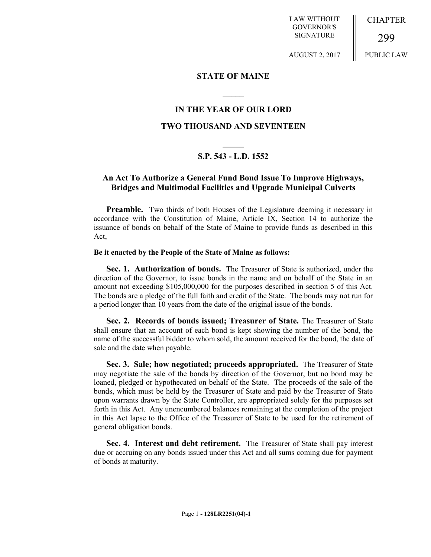LAW WITHOUT GOVERNOR'S SIGNATURE

**CHAPTER** 

299

AUGUST 2, 2017

PUBLIC LAW

## **STATE OF MAINE**

**\_\_\_\_\_**

# **IN THE YEAR OF OUR LORD**

## **TWO THOUSAND AND SEVENTEEN**

# **\_\_\_\_\_ S.P. 543 - L.D. 1552**

# **An Act To Authorize a General Fund Bond Issue To Improve Highways, Bridges and Multimodal Facilities and Upgrade Municipal Culverts**

**Preamble.** Two thirds of both Houses of the Legislature deeming it necessary in accordance with the Constitution of Maine, Article IX, Section 14 to authorize the issuance of bonds on behalf of the State of Maine to provide funds as described in this Act,

#### **Be it enacted by the People of the State of Maine as follows:**

**Sec. 1. Authorization of bonds.** The Treasurer of State is authorized, under the direction of the Governor, to issue bonds in the name and on behalf of the State in an amount not exceeding \$105,000,000 for the purposes described in section 5 of this Act. The bonds are a pledge of the full faith and credit of the State. The bonds may not run for a period longer than 10 years from the date of the original issue of the bonds.

**Sec. 2. Records of bonds issued; Treasurer of State.** The Treasurer of State shall ensure that an account of each bond is kept showing the number of the bond, the name of the successful bidder to whom sold, the amount received for the bond, the date of sale and the date when payable.

**Sec. 3. Sale; how negotiated; proceeds appropriated.** The Treasurer of State may negotiate the sale of the bonds by direction of the Governor, but no bond may be loaned, pledged or hypothecated on behalf of the State. The proceeds of the sale of the bonds, which must be held by the Treasurer of State and paid by the Treasurer of State upon warrants drawn by the State Controller, are appropriated solely for the purposes set forth in this Act. Any unencumbered balances remaining at the completion of the project in this Act lapse to the Office of the Treasurer of State to be used for the retirement of general obligation bonds.

**Sec. 4. Interest and debt retirement.** The Treasurer of State shall pay interest due or accruing on any bonds issued under this Act and all sums coming due for payment of bonds at maturity.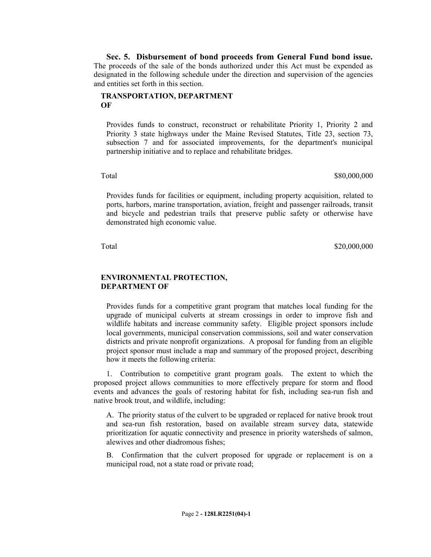**Sec. 5. Disbursement of bond proceeds from General Fund bond issue.**  The proceeds of the sale of the bonds authorized under this Act must be expended as designated in the following schedule under the direction and supervision of the agencies and entities set forth in this section.

#### **TRANSPORTATION, DEPARTMENT OF**

Provides funds to construct, reconstruct or rehabilitate Priority 1, Priority 2 and Priority 3 state highways under the Maine Revised Statutes, Title 23, section 73, subsection 7 and for associated improvements, for the department's municipal partnership initiative and to replace and rehabilitate bridges.

Total \$80,000,000 \$80,000,000 \$80,000,000 \$80,000,000 \$80,000,000 \$80,000 \$80,000 \$80,000 \$90,000 \$90,000 \$90,000 \$90,000 \$90,000 \$90,000 \$90,000 \$90,000 \$90,000 \$90,000 \$90,000 \$90,000 \$90,000 \$90,000 \$90,000 \$90,000 \$90,

Provides funds for facilities or equipment, including property acquisition, related to ports, harbors, marine transportation, aviation, freight and passenger railroads, transit and bicycle and pedestrian trails that preserve public safety or otherwise have demonstrated high economic value.

Total \$20,000,000 \$20,000,000 \$20,000,000 \$20,000,000 \$20,000 \$20,000 \$20,000 \$20,000 \$20,000 \$20,000 \$20,000 \$

## **ENVIRONMENTAL PROTECTION, DEPARTMENT OF**

Provides funds for a competitive grant program that matches local funding for the upgrade of municipal culverts at stream crossings in order to improve fish and wildlife habitats and increase community safety. Eligible project sponsors include local governments, municipal conservation commissions, soil and water conservation districts and private nonprofit organizations. A proposal for funding from an eligible project sponsor must include a map and summary of the proposed project, describing how it meets the following criteria:

1. Contribution to competitive grant program goals. The extent to which the proposed project allows communities to more effectively prepare for storm and flood events and advances the goals of restoring habitat for fish, including sea-run fish and native brook trout, and wildlife, including:

A. The priority status of the culvert to be upgraded or replaced for native brook trout and sea-run fish restoration, based on available stream survey data, statewide prioritization for aquatic connectivity and presence in priority watersheds of salmon, alewives and other diadromous fishes;

B. Confirmation that the culvert proposed for upgrade or replacement is on a municipal road, not a state road or private road;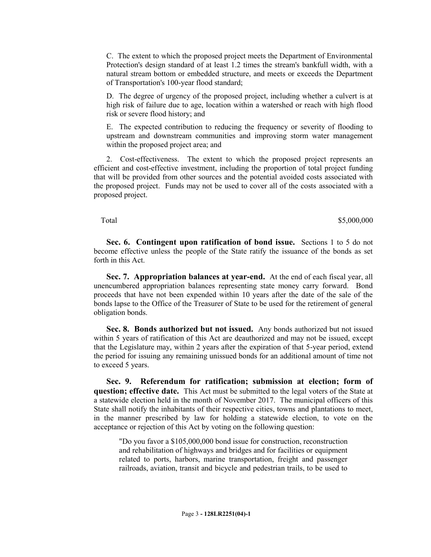C. The extent to which the proposed project meets the Department of Environmental Protection's design standard of at least 1.2 times the stream's bankfull width, with a natural stream bottom or embedded structure, and meets or exceeds the Department of Transportation's 100-year flood standard;

D. The degree of urgency of the proposed project, including whether a culvert is at high risk of failure due to age, location within a watershed or reach with high flood risk or severe flood history; and

E. The expected contribution to reducing the frequency or severity of flooding to upstream and downstream communities and improving storm water management within the proposed project area; and

2. Cost-effectiveness. The extent to which the proposed project represents an efficient and cost-effective investment, including the proportion of total project funding that will be provided from other sources and the potential avoided costs associated with the proposed project. Funds may not be used to cover all of the costs associated with a proposed project.

Total \$5,000,000 \$5,000,000 \$5,000,000 \$5,000,000 \$5,000,000 \$5,000 \$5,000 \$5,000 \$5,000 \$5,000 \$1,000 \$1,000 \$1,000 \$1,000 \$1,000 \$1,000 \$1,000 \$1,000 \$1,000 \$1,000 \$1,000 \$1,000 \$1,000 \$1,000 \$1,000 \$1,000 \$1,000 \$1,000

**Sec. 6. Contingent upon ratification of bond issue.** Sections 1 to 5 do not become effective unless the people of the State ratify the issuance of the bonds as set forth in this Act.

**Sec. 7. Appropriation balances at year-end.** At the end of each fiscal year, all unencumbered appropriation balances representing state money carry forward. Bond proceeds that have not been expended within 10 years after the date of the sale of the bonds lapse to the Office of the Treasurer of State to be used for the retirement of general obligation bonds.

**Sec. 8. Bonds authorized but not issued.** Any bonds authorized but not issued within 5 years of ratification of this Act are deauthorized and may not be issued, except that the Legislature may, within 2 years after the expiration of that 5-year period, extend the period for issuing any remaining unissued bonds for an additional amount of time not to exceed 5 years.

**Sec. 9. Referendum for ratification; submission at election; form of question; effective date.** This Act must be submitted to the legal voters of the State at a statewide election held in the month of November 2017. The municipal officers of this State shall notify the inhabitants of their respective cities, towns and plantations to meet, in the manner prescribed by law for holding a statewide election, to vote on the acceptance or rejection of this Act by voting on the following question:

"Do you favor a \$105,000,000 bond issue for construction, reconstruction and rehabilitation of highways and bridges and for facilities or equipment related to ports, harbors, marine transportation, freight and passenger railroads, aviation, transit and bicycle and pedestrian trails, to be used to